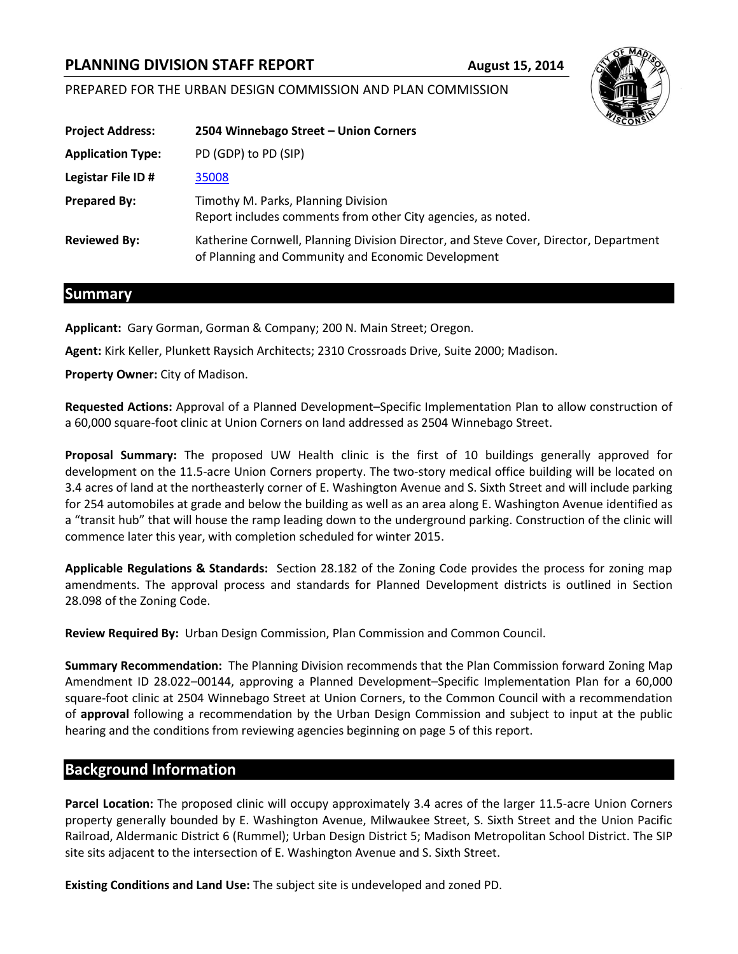# **PLANNING DIVISION STAFF REPORT August 15, 2014**

### PREPARED FOR THE URBAN DESIGN COMMISSION AND PLAN COMMISSION



### **Summary**

**Applicant:** Gary Gorman, Gorman & Company; 200 N. Main Street; Oregon.

**Agent:** Kirk Keller, Plunkett Raysich Architects; 2310 Crossroads Drive, Suite 2000; Madison.

**Property Owner:** City of Madison.

**Requested Actions:** Approval of a Planned Development–Specific Implementation Plan to allow construction of a 60,000 square-foot clinic at Union Corners on land addressed as 2504 Winnebago Street.

**Proposal Summary:** The proposed UW Health clinic is the first of 10 buildings generally approved for development on the 11.5-acre Union Corners property. The two-story medical office building will be located on 3.4 acres of land at the northeasterly corner of E. Washington Avenue and S. Sixth Street and will include parking for 254 automobiles at grade and below the building as well as an area along E. Washington Avenue identified as a "transit hub" that will house the ramp leading down to the underground parking. Construction of the clinic will commence later this year, with completion scheduled for winter 2015.

**Applicable Regulations & Standards:** Section 28.182 of the Zoning Code provides the process for zoning map amendments. The approval process and standards for Planned Development districts is outlined in Section 28.098 of the Zoning Code.

**Review Required By:** Urban Design Commission, Plan Commission and Common Council.

**Summary Recommendation:** The Planning Division recommends that the Plan Commission forward Zoning Map Amendment ID 28.022–00144, approving a Planned Development–Specific Implementation Plan for a 60,000 square-foot clinic at 2504 Winnebago Street at Union Corners, to the Common Council with a recommendation of **approval** following a recommendation by the Urban Design Commission and subject to input at the public hearing and the conditions from reviewing agencies beginning on page 5 of this report.

## **Background Information**

**Parcel Location:** The proposed clinic will occupy approximately 3.4 acres of the larger 11.5-acre Union Corners property generally bounded by E. Washington Avenue, Milwaukee Street, S. Sixth Street and the Union Pacific Railroad, Aldermanic District 6 (Rummel); Urban Design District 5; Madison Metropolitan School District. The SIP site sits adjacent to the intersection of E. Washington Avenue and S. Sixth Street.

**Existing Conditions and Land Use:** The subject site is undeveloped and zoned PD.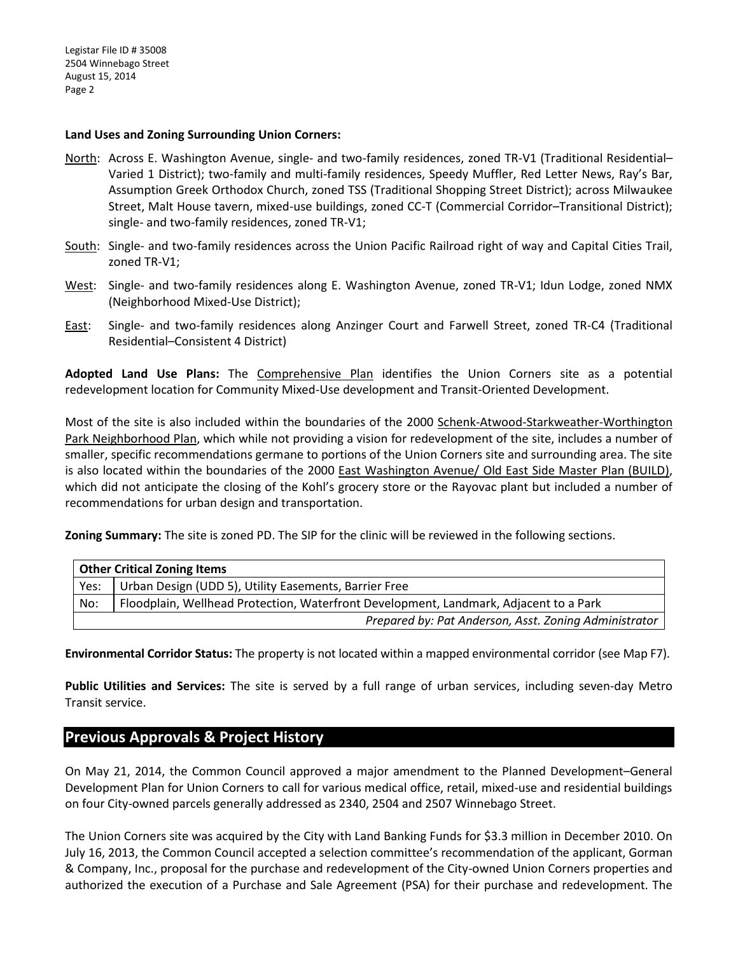#### **Land Uses and Zoning Surrounding Union Corners:**

- North: Across E. Washington Avenue, single- and two-family residences, zoned TR-V1 (Traditional Residential– Varied 1 District); two-family and multi-family residences, Speedy Muffler, Red Letter News, Ray's Bar, Assumption Greek Orthodox Church, zoned TSS (Traditional Shopping Street District); across Milwaukee Street, Malt House tavern, mixed-use buildings, zoned CC-T (Commercial Corridor–Transitional District); single- and two-family residences, zoned TR-V1;
- South: Single- and two-family residences across the Union Pacific Railroad right of way and Capital Cities Trail, zoned TR-V1;
- West: Single- and two-family residences along E. Washington Avenue, zoned TR-V1; Idun Lodge, zoned NMX (Neighborhood Mixed-Use District);
- East: Single- and two-family residences along Anzinger Court and Farwell Street, zoned TR-C4 (Traditional Residential–Consistent 4 District)

**Adopted Land Use Plans:** The Comprehensive Plan identifies the Union Corners site as a potential redevelopment location for Community Mixed-Use development and Transit-Oriented Development.

Most of the site is also included within the boundaries of the 2000 Schenk-Atwood-Starkweather-Worthington Park Neighborhood Plan, which while not providing a vision for redevelopment of the site, includes a number of smaller, specific recommendations germane to portions of the Union Corners site and surrounding area. The site is also located within the boundaries of the 2000 East Washington Avenue/ Old East Side Master Plan (BUILD), which did not anticipate the closing of the Kohl's grocery store or the Rayovac plant but included a number of recommendations for urban design and transportation.

**Zoning Summary:** The site is zoned PD. The SIP for the clinic will be reviewed in the following sections.

| <b>Other Critical Zoning Items</b>                    |                                                                                       |
|-------------------------------------------------------|---------------------------------------------------------------------------------------|
| Yes:                                                  | Urban Design (UDD 5), Utility Easements, Barrier Free                                 |
| No:                                                   | Floodplain, Wellhead Protection, Waterfront Development, Landmark, Adjacent to a Park |
| Prepared by: Pat Anderson, Asst. Zoning Administrator |                                                                                       |

**Environmental Corridor Status:** The property is not located within a mapped environmental corridor (see Map F7).

**Public Utilities and Services:** The site is served by a full range of urban services, including seven-day Metro Transit service.

## **Previous Approvals & Project History**

On May 21, 2014, the Common Council approved a major amendment to the Planned Development–General Development Plan for Union Corners to call for various medical office, retail, mixed-use and residential buildings on four City-owned parcels generally addressed as 2340, 2504 and 2507 Winnebago Street.

The Union Corners site was acquired by the City with Land Banking Funds for \$3.3 million in December 2010. On July 16, 2013, the Common Council accepted a selection committee's recommendation of the applicant, Gorman & Company, Inc., proposal for the purchase and redevelopment of the City-owned Union Corners properties and authorized the execution of a Purchase and Sale Agreement (PSA) for their purchase and redevelopment. The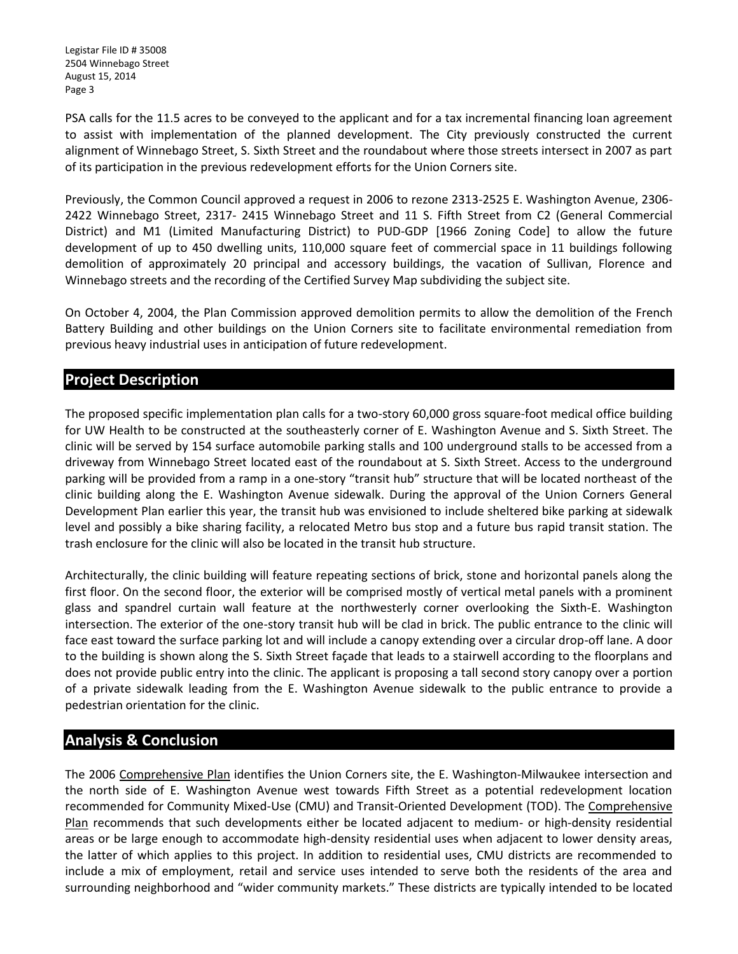PSA calls for the 11.5 acres to be conveyed to the applicant and for a tax incremental financing loan agreement to assist with implementation of the planned development. The City previously constructed the current alignment of Winnebago Street, S. Sixth Street and the roundabout where those streets intersect in 2007 as part of its participation in the previous redevelopment efforts for the Union Corners site.

Previously, the Common Council approved a request in 2006 to rezone 2313-2525 E. Washington Avenue, 2306- 2422 Winnebago Street, 2317- 2415 Winnebago Street and 11 S. Fifth Street from C2 (General Commercial District) and M1 (Limited Manufacturing District) to PUD-GDP [1966 Zoning Code] to allow the future development of up to 450 dwelling units, 110,000 square feet of commercial space in 11 buildings following demolition of approximately 20 principal and accessory buildings, the vacation of Sullivan, Florence and Winnebago streets and the recording of the Certified Survey Map subdividing the subject site.

On October 4, 2004, the Plan Commission approved demolition permits to allow the demolition of the French Battery Building and other buildings on the Union Corners site to facilitate environmental remediation from previous heavy industrial uses in anticipation of future redevelopment.

## **Project Description**

The proposed specific implementation plan calls for a two-story 60,000 gross square-foot medical office building for UW Health to be constructed at the southeasterly corner of E. Washington Avenue and S. Sixth Street. The clinic will be served by 154 surface automobile parking stalls and 100 underground stalls to be accessed from a driveway from Winnebago Street located east of the roundabout at S. Sixth Street. Access to the underground parking will be provided from a ramp in a one-story "transit hub" structure that will be located northeast of the clinic building along the E. Washington Avenue sidewalk. During the approval of the Union Corners General Development Plan earlier this year, the transit hub was envisioned to include sheltered bike parking at sidewalk level and possibly a bike sharing facility, a relocated Metro bus stop and a future bus rapid transit station. The trash enclosure for the clinic will also be located in the transit hub structure.

Architecturally, the clinic building will feature repeating sections of brick, stone and horizontal panels along the first floor. On the second floor, the exterior will be comprised mostly of vertical metal panels with a prominent glass and spandrel curtain wall feature at the northwesterly corner overlooking the Sixth-E. Washington intersection. The exterior of the one-story transit hub will be clad in brick. The public entrance to the clinic will face east toward the surface parking lot and will include a canopy extending over a circular drop-off lane. A door to the building is shown along the S. Sixth Street façade that leads to a stairwell according to the floorplans and does not provide public entry into the clinic. The applicant is proposing a tall second story canopy over a portion of a private sidewalk leading from the E. Washington Avenue sidewalk to the public entrance to provide a pedestrian orientation for the clinic.

## **Analysis & Conclusion**

The 2006 Comprehensive Plan identifies the Union Corners site, the E. Washington-Milwaukee intersection and the north side of E. Washington Avenue west towards Fifth Street as a potential redevelopment location recommended for Community Mixed-Use (CMU) and Transit-Oriented Development (TOD). The Comprehensive Plan recommends that such developments either be located adjacent to medium- or high-density residential areas or be large enough to accommodate high-density residential uses when adjacent to lower density areas, the latter of which applies to this project. In addition to residential uses, CMU districts are recommended to include a mix of employment, retail and service uses intended to serve both the residents of the area and surrounding neighborhood and "wider community markets." These districts are typically intended to be located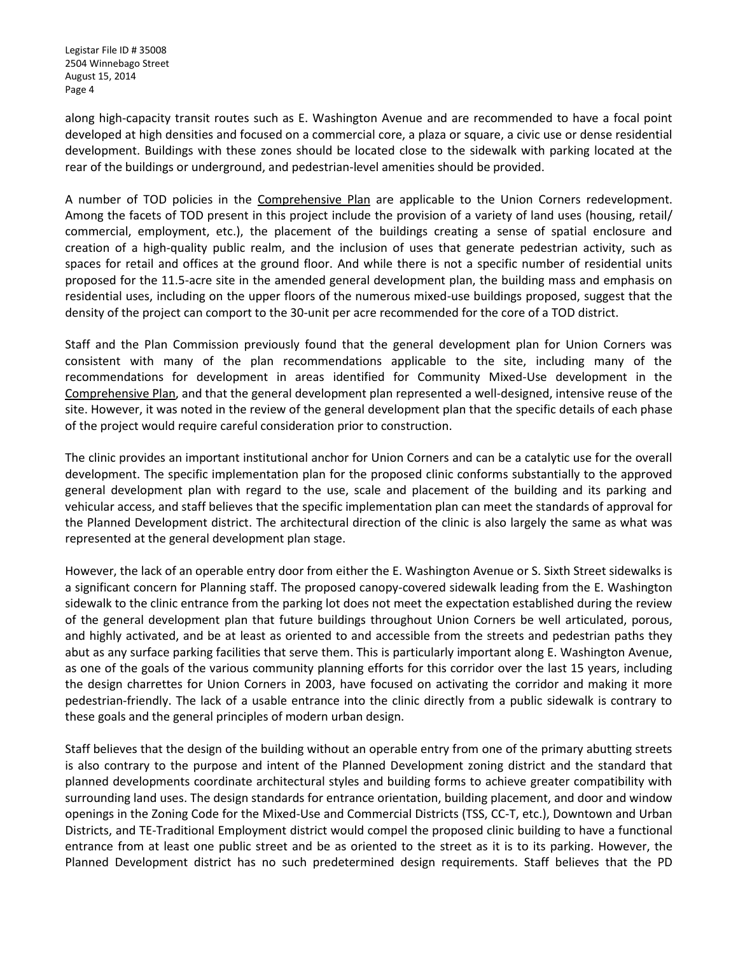along high-capacity transit routes such as E. Washington Avenue and are recommended to have a focal point developed at high densities and focused on a commercial core, a plaza or square, a civic use or dense residential development. Buildings with these zones should be located close to the sidewalk with parking located at the rear of the buildings or underground, and pedestrian-level amenities should be provided.

A number of TOD policies in the Comprehensive Plan are applicable to the Union Corners redevelopment. Among the facets of TOD present in this project include the provision of a variety of land uses (housing, retail/ commercial, employment, etc.), the placement of the buildings creating a sense of spatial enclosure and creation of a high-quality public realm, and the inclusion of uses that generate pedestrian activity, such as spaces for retail and offices at the ground floor. And while there is not a specific number of residential units proposed for the 11.5-acre site in the amended general development plan, the building mass and emphasis on residential uses, including on the upper floors of the numerous mixed-use buildings proposed, suggest that the density of the project can comport to the 30-unit per acre recommended for the core of a TOD district.

Staff and the Plan Commission previously found that the general development plan for Union Corners was consistent with many of the plan recommendations applicable to the site, including many of the recommendations for development in areas identified for Community Mixed-Use development in the Comprehensive Plan, and that the general development plan represented a well-designed, intensive reuse of the site. However, it was noted in the review of the general development plan that the specific details of each phase of the project would require careful consideration prior to construction.

The clinic provides an important institutional anchor for Union Corners and can be a catalytic use for the overall development. The specific implementation plan for the proposed clinic conforms substantially to the approved general development plan with regard to the use, scale and placement of the building and its parking and vehicular access, and staff believes that the specific implementation plan can meet the standards of approval for the Planned Development district. The architectural direction of the clinic is also largely the same as what was represented at the general development plan stage.

However, the lack of an operable entry door from either the E. Washington Avenue or S. Sixth Street sidewalks is a significant concern for Planning staff. The proposed canopy-covered sidewalk leading from the E. Washington sidewalk to the clinic entrance from the parking lot does not meet the expectation established during the review of the general development plan that future buildings throughout Union Corners be well articulated, porous, and highly activated, and be at least as oriented to and accessible from the streets and pedestrian paths they abut as any surface parking facilities that serve them. This is particularly important along E. Washington Avenue, as one of the goals of the various community planning efforts for this corridor over the last 15 years, including the design charrettes for Union Corners in 2003, have focused on activating the corridor and making it more pedestrian-friendly. The lack of a usable entrance into the clinic directly from a public sidewalk is contrary to these goals and the general principles of modern urban design.

Staff believes that the design of the building without an operable entry from one of the primary abutting streets is also contrary to the purpose and intent of the Planned Development zoning district and the standard that planned developments coordinate architectural styles and building forms to achieve greater compatibility with surrounding land uses. The design standards for entrance orientation, building placement, and door and window openings in the Zoning Code for the Mixed-Use and Commercial Districts (TSS, CC-T, etc.), Downtown and Urban Districts, and TE-Traditional Employment district would compel the proposed clinic building to have a functional entrance from at least one public street and be as oriented to the street as it is to its parking. However, the Planned Development district has no such predetermined design requirements. Staff believes that the PD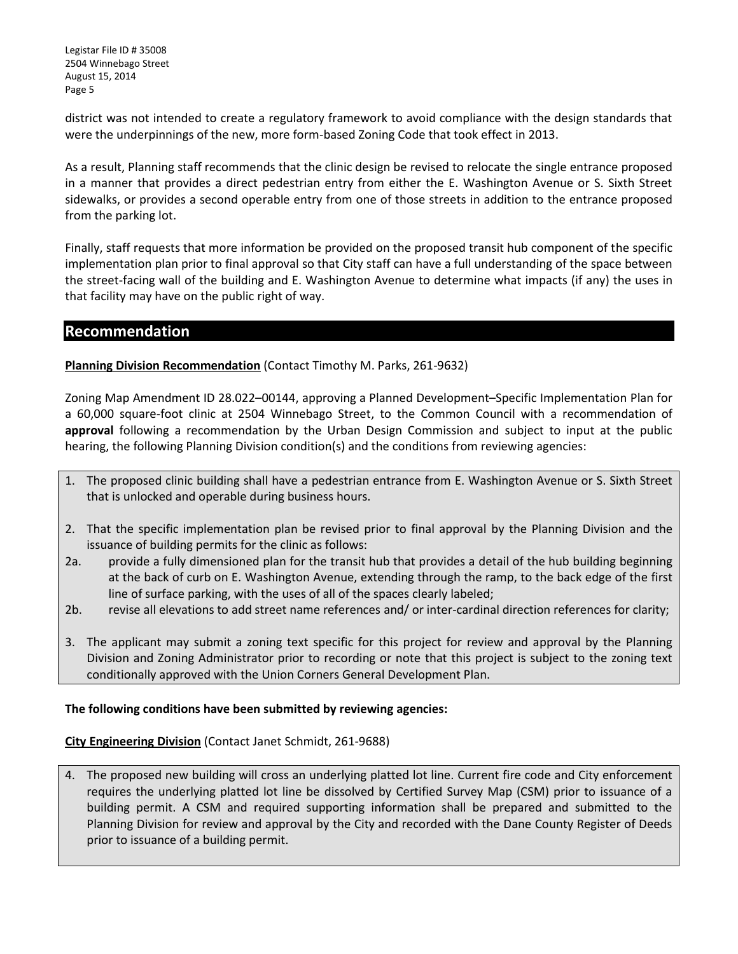district was not intended to create a regulatory framework to avoid compliance with the design standards that were the underpinnings of the new, more form-based Zoning Code that took effect in 2013.

As a result, Planning staff recommends that the clinic design be revised to relocate the single entrance proposed in a manner that provides a direct pedestrian entry from either the E. Washington Avenue or S. Sixth Street sidewalks, or provides a second operable entry from one of those streets in addition to the entrance proposed from the parking lot.

Finally, staff requests that more information be provided on the proposed transit hub component of the specific implementation plan prior to final approval so that City staff can have a full understanding of the space between the street-facing wall of the building and E. Washington Avenue to determine what impacts (if any) the uses in that facility may have on the public right of way.

### **Recommendation**

**Planning Division Recommendation** (Contact Timothy M. Parks, 261-9632)

Zoning Map Amendment ID 28.022–00144, approving a Planned Development–Specific Implementation Plan for a 60,000 square-foot clinic at 2504 Winnebago Street, to the Common Council with a recommendation of **approval** following a recommendation by the Urban Design Commission and subject to input at the public hearing, the following Planning Division condition(s) and the conditions from reviewing agencies:

- 1. The proposed clinic building shall have a pedestrian entrance from E. Washington Avenue or S. Sixth Street that is unlocked and operable during business hours.
- 2. That the specific implementation plan be revised prior to final approval by the Planning Division and the issuance of building permits for the clinic as follows:
- 2a. provide a fully dimensioned plan for the transit hub that provides a detail of the hub building beginning at the back of curb on E. Washington Avenue, extending through the ramp, to the back edge of the first line of surface parking, with the uses of all of the spaces clearly labeled;
- 2b. revise all elevations to add street name references and/ or inter-cardinal direction references for clarity;
- 3. The applicant may submit a zoning text specific for this project for review and approval by the Planning Division and Zoning Administrator prior to recording or note that this project is subject to the zoning text conditionally approved with the Union Corners General Development Plan.

### **The following conditions have been submitted by reviewing agencies:**

### **City Engineering Division** (Contact Janet Schmidt, 261-9688)

4. The proposed new building will cross an underlying platted lot line. Current fire code and City enforcement requires the underlying platted lot line be dissolved by Certified Survey Map (CSM) prior to issuance of a building permit. A CSM and required supporting information shall be prepared and submitted to the Planning Division for review and approval by the City and recorded with the Dane County Register of Deeds prior to issuance of a building permit.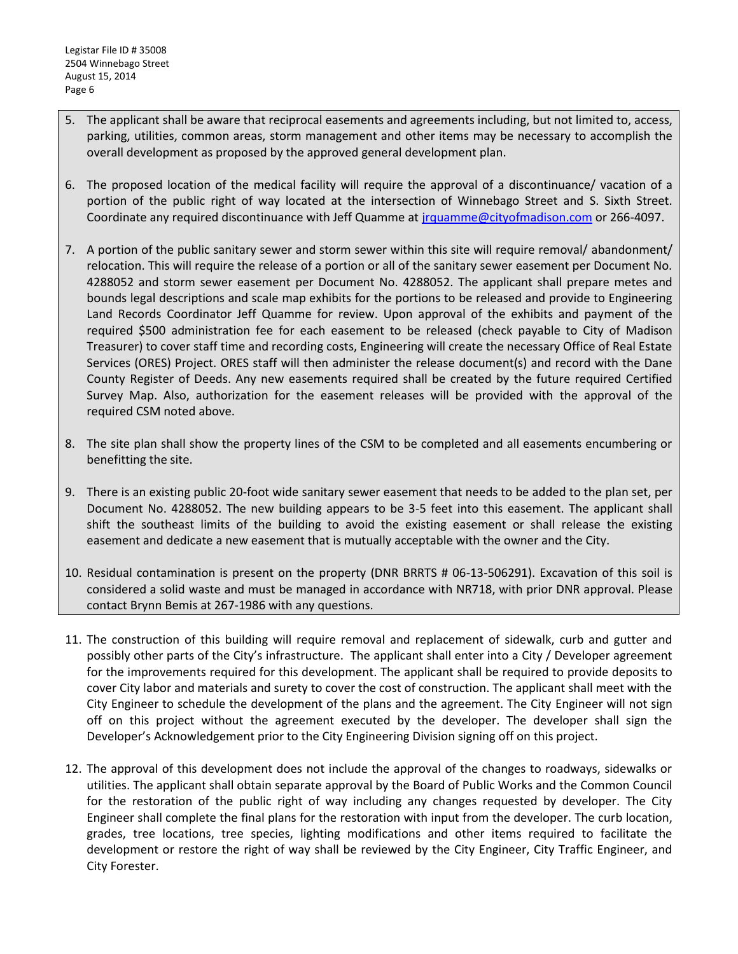- 5. The applicant shall be aware that reciprocal easements and agreements including, but not limited to, access, parking, utilities, common areas, storm management and other items may be necessary to accomplish the overall development as proposed by the approved general development plan.
- 6. The proposed location of the medical facility will require the approval of a discontinuance/ vacation of a portion of the public right of way located at the intersection of Winnebago Street and S. Sixth Street. Coordinate any required discontinuance with Jeff Quamme at [jrquamme@cityofmadison.com](mailto:jrquamme@cityofmadison.com) or 266-4097.
- 7. A portion of the public sanitary sewer and storm sewer within this site will require removal/ abandonment/ relocation. This will require the release of a portion or all of the sanitary sewer easement per Document No. 4288052 and storm sewer easement per Document No. 4288052. The applicant shall prepare metes and bounds legal descriptions and scale map exhibits for the portions to be released and provide to Engineering Land Records Coordinator Jeff Quamme for review. Upon approval of the exhibits and payment of the required \$500 administration fee for each easement to be released (check payable to City of Madison Treasurer) to cover staff time and recording costs, Engineering will create the necessary Office of Real Estate Services (ORES) Project. ORES staff will then administer the release document(s) and record with the Dane County Register of Deeds. Any new easements required shall be created by the future required Certified Survey Map. Also, authorization for the easement releases will be provided with the approval of the required CSM noted above.
- 8. The site plan shall show the property lines of the CSM to be completed and all easements encumbering or benefitting the site.
- 9. There is an existing public 20-foot wide sanitary sewer easement that needs to be added to the plan set, per Document No. 4288052. The new building appears to be 3-5 feet into this easement. The applicant shall shift the southeast limits of the building to avoid the existing easement or shall release the existing easement and dedicate a new easement that is mutually acceptable with the owner and the City.
- 10. Residual contamination is present on the property (DNR BRRTS # 06-13-506291). Excavation of this soil is considered a solid waste and must be managed in accordance with NR718, with prior DNR approval. Please contact Brynn Bemis at 267-1986 with any questions.
- 11. The construction of this building will require removal and replacement of sidewalk, curb and gutter and possibly other parts of the City's infrastructure. The applicant shall enter into a City / Developer agreement for the improvements required for this development. The applicant shall be required to provide deposits to cover City labor and materials and surety to cover the cost of construction. The applicant shall meet with the City Engineer to schedule the development of the plans and the agreement. The City Engineer will not sign off on this project without the agreement executed by the developer. The developer shall sign the Developer's Acknowledgement prior to the City Engineering Division signing off on this project.
- 12. The approval of this development does not include the approval of the changes to roadways, sidewalks or utilities. The applicant shall obtain separate approval by the Board of Public Works and the Common Council for the restoration of the public right of way including any changes requested by developer. The City Engineer shall complete the final plans for the restoration with input from the developer. The curb location, grades, tree locations, tree species, lighting modifications and other items required to facilitate the development or restore the right of way shall be reviewed by the City Engineer, City Traffic Engineer, and City Forester.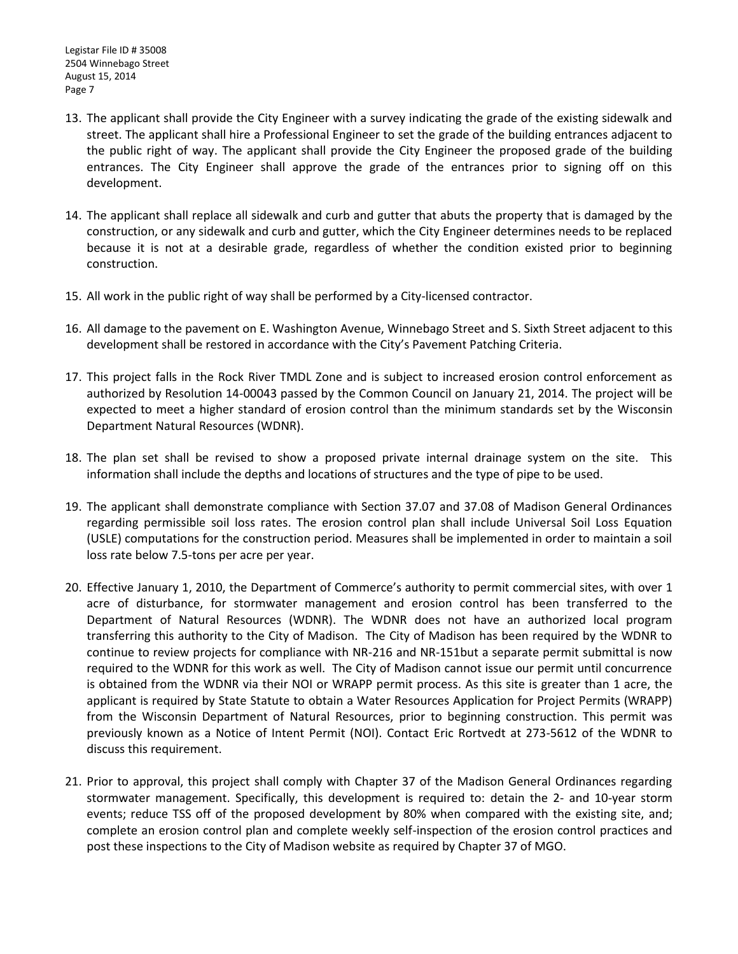- 13. The applicant shall provide the City Engineer with a survey indicating the grade of the existing sidewalk and street. The applicant shall hire a Professional Engineer to set the grade of the building entrances adjacent to the public right of way. The applicant shall provide the City Engineer the proposed grade of the building entrances. The City Engineer shall approve the grade of the entrances prior to signing off on this development.
- 14. The applicant shall replace all sidewalk and curb and gutter that abuts the property that is damaged by the construction, or any sidewalk and curb and gutter, which the City Engineer determines needs to be replaced because it is not at a desirable grade, regardless of whether the condition existed prior to beginning construction.
- 15. All work in the public right of way shall be performed by a City-licensed contractor.
- 16. All damage to the pavement on E. Washington Avenue, Winnebago Street and S. Sixth Street adjacent to this development shall be restored in accordance with the City's Pavement Patching Criteria.
- 17. This project falls in the Rock River TMDL Zone and is subject to increased erosion control enforcement as authorized by Resolution 14-00043 passed by the Common Council on January 21, 2014. The project will be expected to meet a higher standard of erosion control than the minimum standards set by the Wisconsin Department Natural Resources (WDNR).
- 18. The plan set shall be revised to show a proposed private internal drainage system on the site. This information shall include the depths and locations of structures and the type of pipe to be used.
- 19. The applicant shall demonstrate compliance with Section 37.07 and 37.08 of Madison General Ordinances regarding permissible soil loss rates. The erosion control plan shall include Universal Soil Loss Equation (USLE) computations for the construction period. Measures shall be implemented in order to maintain a soil loss rate below 7.5-tons per acre per year.
- 20. Effective January 1, 2010, the Department of Commerce's authority to permit commercial sites, with over 1 acre of disturbance, for stormwater management and erosion control has been transferred to the Department of Natural Resources (WDNR). The WDNR does not have an authorized local program transferring this authority to the City of Madison. The City of Madison has been required by the WDNR to continue to review projects for compliance with NR-216 and NR-151but a separate permit submittal is now required to the WDNR for this work as well. The City of Madison cannot issue our permit until concurrence is obtained from the WDNR via their NOI or WRAPP permit process. As this site is greater than 1 acre, the applicant is required by State Statute to obtain a Water Resources Application for Project Permits (WRAPP) from the Wisconsin Department of Natural Resources, prior to beginning construction. This permit was previously known as a Notice of Intent Permit (NOI). Contact Eric Rortvedt at 273-5612 of the WDNR to discuss this requirement.
- 21. Prior to approval, this project shall comply with Chapter 37 of the Madison General Ordinances regarding stormwater management. Specifically, this development is required to: detain the 2- and 10-year storm events; reduce TSS off of the proposed development by 80% when compared with the existing site, and; complete an erosion control plan and complete weekly self-inspection of the erosion control practices and post these inspections to the City of Madison website as required by Chapter 37 of MGO.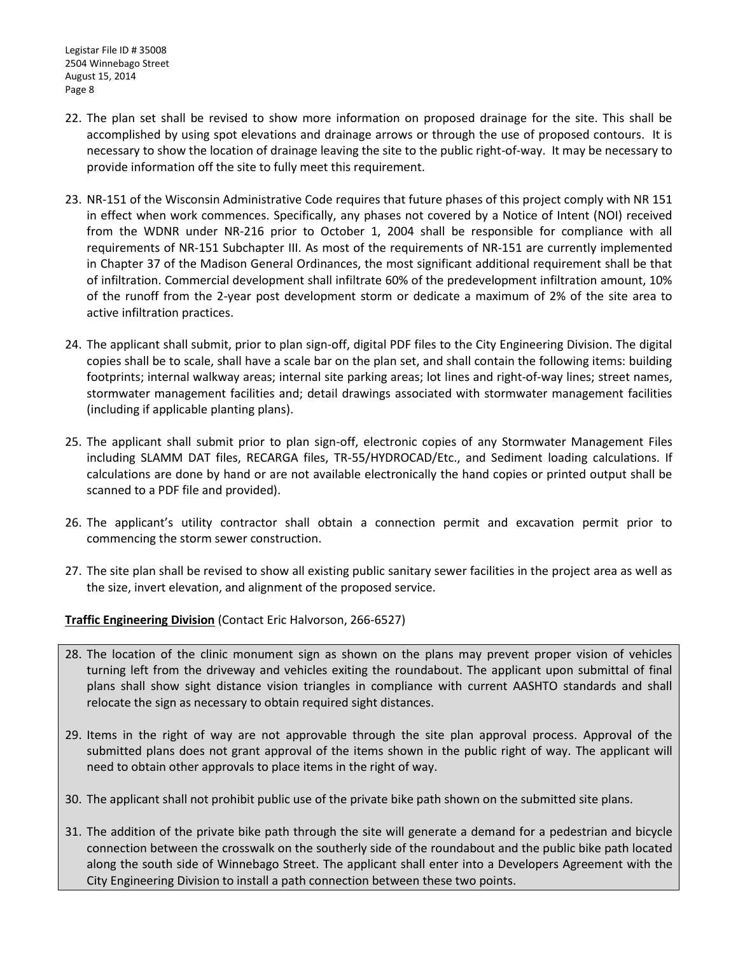- 22. The plan set shall be revised to show more information on proposed drainage for the site. This shall be accomplished by using spot elevations and drainage arrows or through the use of proposed contours. It is necessary to show the location of drainage leaving the site to the public right-of-way. It may be necessary to provide information off the site to fully meet this requirement.
- 23. NR-151 of the Wisconsin Administrative Code requires that future phases of this project comply with NR 151 in effect when work commences. Specifically, any phases not covered by a Notice of Intent (NOI) received from the WDNR under NR-216 prior to October 1, 2004 shall be responsible for compliance with all requirements of NR-151 Subchapter III. As most of the requirements of NR-151 are currently implemented in Chapter 37 of the Madison General Ordinances, the most significant additional requirement shall be that of infiltration. Commercial development shall infiltrate 60% of the predevelopment infiltration amount, 10% of the runoff from the 2-year post development storm or dedicate a maximum of 2% of the site area to active infiltration practices.
- 24. The applicant shall submit, prior to plan sign-off, digital PDF files to the City Engineering Division. The digital copies shall be to scale, shall have a scale bar on the plan set, and shall contain the following items: building footprints; internal walkway areas; internal site parking areas; lot lines and right-of-way lines; street names, stormwater management facilities and; detail drawings associated with stormwater management facilities (including if applicable planting plans).
- 25. The applicant shall submit prior to plan sign-off, electronic copies of any Stormwater Management Files including SLAMM DAT files, RECARGA files, TR-55/HYDROCAD/Etc., and Sediment loading calculations. If calculations are done by hand or are not available electronically the hand copies or printed output shall be scanned to a PDF file and provided).
- 26. The applicant's utility contractor shall obtain a connection permit and excavation permit prior to commencing the storm sewer construction.
- 27. The site plan shall be revised to show all existing public sanitary sewer facilities in the project area as well as the size, invert elevation, and alignment of the proposed service.

### **Traffic Engineering Division** (Contact Eric Halvorson, 266-6527)

- 28. The location of the clinic monument sign as shown on the plans may prevent proper vision of vehicles turning left from the driveway and vehicles exiting the roundabout. The applicant upon submittal of final plans shall show sight distance vision triangles in compliance with current AASHTO standards and shall relocate the sign as necessary to obtain required sight distances.
- 29. Items in the right of way are not approvable through the site plan approval process. Approval of the submitted plans does not grant approval of the items shown in the public right of way. The applicant will need to obtain other approvals to place items in the right of way.
- 30. The applicant shall not prohibit public use of the private bike path shown on the submitted site plans.
- 31. The addition of the private bike path through the site will generate a demand for a pedestrian and bicycle connection between the crosswalk on the southerly side of the roundabout and the public bike path located along the south side of Winnebago Street. The applicant shall enter into a Developers Agreement with the City Engineering Division to install a path connection between these two points.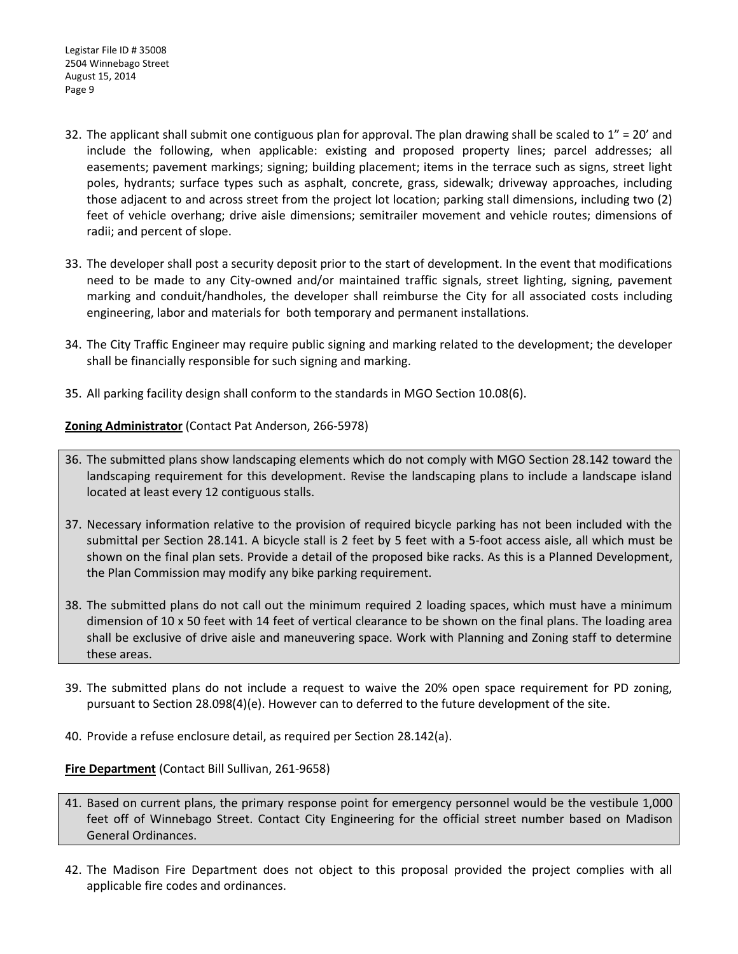- 32. The applicant shall submit one contiguous plan for approval. The plan drawing shall be scaled to  $1'' = 20'$  and include the following, when applicable: existing and proposed property lines; parcel addresses; all easements; pavement markings; signing; building placement; items in the terrace such as signs, street light poles, hydrants; surface types such as asphalt, concrete, grass, sidewalk; driveway approaches, including those adjacent to and across street from the project lot location; parking stall dimensions, including two (2) feet of vehicle overhang; drive aisle dimensions; semitrailer movement and vehicle routes; dimensions of radii; and percent of slope.
- 33. The developer shall post a security deposit prior to the start of development. In the event that modifications need to be made to any City-owned and/or maintained traffic signals, street lighting, signing, pavement marking and conduit/handholes, the developer shall reimburse the City for all associated costs including engineering, labor and materials for both temporary and permanent installations.
- 34. The City Traffic Engineer may require public signing and marking related to the development; the developer shall be financially responsible for such signing and marking.
- 35. All parking facility design shall conform to the standards in MGO Section 10.08(6).

**Zoning Administrator** (Contact Pat Anderson, 266-5978)

- 36. The submitted plans show landscaping elements which do not comply with MGO Section 28.142 toward the landscaping requirement for this development. Revise the landscaping plans to include a landscape island located at least every 12 contiguous stalls.
- 37. Necessary information relative to the provision of required bicycle parking has not been included with the submittal per Section 28.141. A bicycle stall is 2 feet by 5 feet with a 5-foot access aisle, all which must be shown on the final plan sets. Provide a detail of the proposed bike racks. As this is a Planned Development, the Plan Commission may modify any bike parking requirement.
- 38. The submitted plans do not call out the minimum required 2 loading spaces, which must have a minimum dimension of 10 x 50 feet with 14 feet of vertical clearance to be shown on the final plans. The loading area shall be exclusive of drive aisle and maneuvering space. Work with Planning and Zoning staff to determine these areas.
- 39. The submitted plans do not include a request to waive the 20% open space requirement for PD zoning, pursuant to Section 28.098(4)(e). However can to deferred to the future development of the site.
- 40. Provide a refuse enclosure detail, as required per Section 28.142(a).

### **Fire Department** (Contact Bill Sullivan, 261-9658)

- 41. Based on current plans, the primary response point for emergency personnel would be the vestibule 1,000 feet off of Winnebago Street. Contact City Engineering for the official street number based on Madison General Ordinances.
- 42. The Madison Fire Department does not object to this proposal provided the project complies with all applicable fire codes and ordinances.